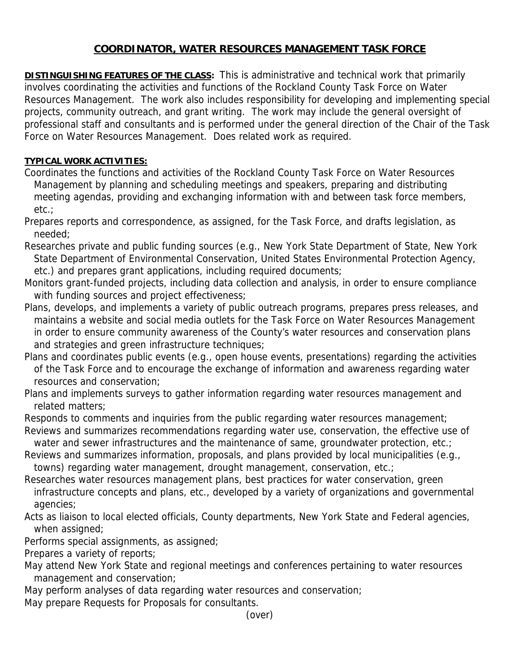## **COORDINATOR, WATER RESOURCES MANAGEMENT TASK FORCE**

**DISTINGUISHING FEATURES OF THE CLASS:** This is administrative and technical work that primarily involves coordinating the activities and functions of the Rockland County Task Force on Water Resources Management. The work also includes responsibility for developing and implementing special projects, community outreach, and grant writing. The work may include the general oversight of professional staff and consultants and is performed under the general direction of the Chair of the Task Force on Water Resources Management. Does related work as required.

## **TYPICAL WORK ACTIVITIES:**

- Coordinates the functions and activities of the Rockland County Task Force on Water Resources Management by planning and scheduling meetings and speakers, preparing and distributing meeting agendas, providing and exchanging information with and between task force members, etc.;
- Prepares reports and correspondence, as assigned, for the Task Force, and drafts legislation, as needed;
- Researches private and public funding sources (e.g., New York State Department of State, New York State Department of Environmental Conservation, United States Environmental Protection Agency, etc.) and prepares grant applications, including required documents;
- Monitors grant-funded projects, including data collection and analysis, in order to ensure compliance with funding sources and project effectiveness;
- Plans, develops, and implements a variety of public outreach programs, prepares press releases, and maintains a website and social media outlets for the Task Force on Water Resources Management in order to ensure community awareness of the County's water resources and conservation plans and strategies and green infrastructure techniques;
- Plans and coordinates public events (e.g., open house events, presentations) regarding the activities of the Task Force and to encourage the exchange of information and awareness regarding water resources and conservation;
- Plans and implements surveys to gather information regarding water resources management and related matters;
- Responds to comments and inquiries from the public regarding water resources management; Reviews and summarizes recommendations regarding water use, conservation, the effective use of
- water and sewer infrastructures and the maintenance of same, groundwater protection, etc.;
- Reviews and summarizes information, proposals, and plans provided by local municipalities (e.g., towns) regarding water management, drought management, conservation, etc.;
- Researches water resources management plans, best practices for water conservation, green infrastructure concepts and plans, etc., developed by a variety of organizations and governmental agencies;
- Acts as liaison to local elected officials, County departments, New York State and Federal agencies, when assigned;
- Performs special assignments, as assigned;
- Prepares a variety of reports;
- May attend New York State and regional meetings and conferences pertaining to water resources management and conservation;
- May perform analyses of data regarding water resources and conservation;
- May prepare Requests for Proposals for consultants.